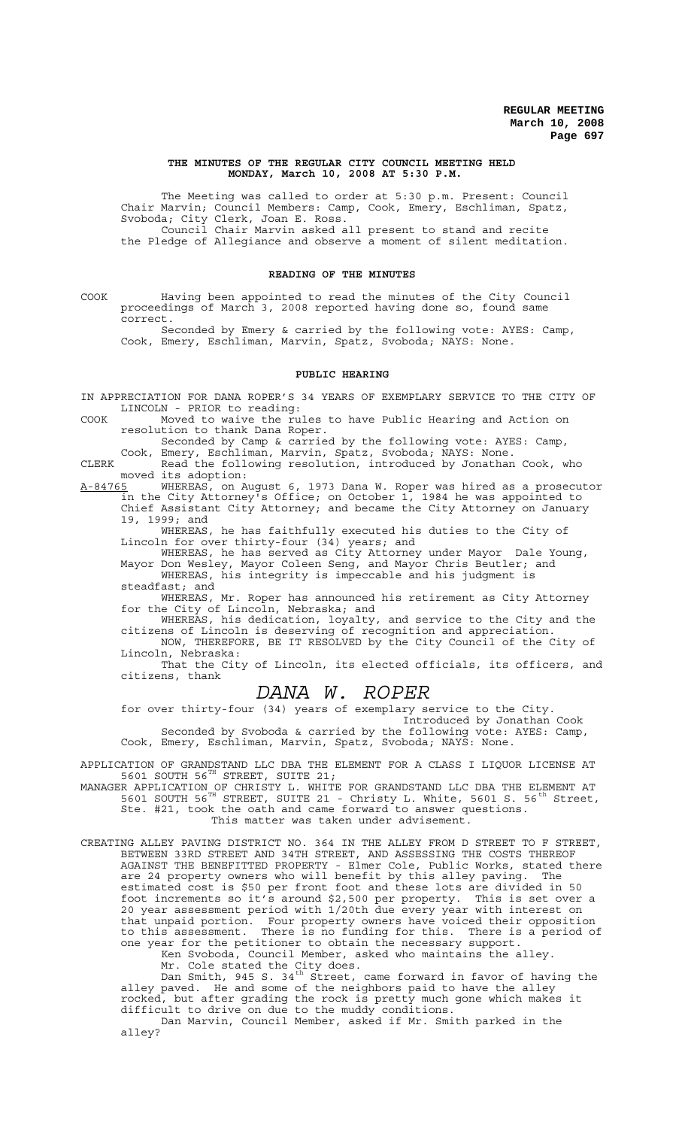### **THE MINUTES OF THE REGULAR CITY COUNCIL MEETING HELD MONDAY, March 10, 2008 AT 5:30 P.M.**

The Meeting was called to order at 5:30 p.m. Present: Council Chair Marvin; Council Members: Camp, Cook, Emery, Eschliman, Spatz, Svoboda; City Clerk, Joan E. Ross. Council Chair Marvin asked all present to stand and recite the Pledge of Allegiance and observe a moment of silent meditation.

### **READING OF THE MINUTES**

COOK Having been appointed to read the minutes of the City Council proceedings of March 3, 2008 reported having done so, found same correct.

Seconded by Emery & carried by the following vote: AYES: Camp, Cook, Emery, Eschliman, Marvin, Spatz, Svoboda; NAYS: None.

#### **PUBLIC HEARING**

IN APPRECIATION FOR DANA ROPER'S 34 YEARS OF EXEMPLARY SERVICE TO THE CITY OF LINCOLN - PRIOR to reading:

COOK Moved to waive the rules to have Public Hearing and Action on resolution to thank Dana Roper.

Seconded by Camp & carried by the following vote: AYES: Camp,

Cook, Emery, Eschliman, Marvin, Spatz, Svoboda; NAYS: None.

CLERK Read the following resolution, introduced by Jonathan Cook, who moved its adoption:

A-84765 WHEREAS, on August 6, 1973 Dana W. Roper was hired as a prosecutor in the City Attorney's Office; on October 1, 1984 he was appointed to Chief Assistant City Attorney; and became the City Attorney on January 19, 1999; and

WHEREAS, he has faithfully executed his duties to the City of Lincoln for over thirty-four (34) years; and

WHEREAS, he has served as City Attorney under Mayor Dale Young, Mayor Don Wesley, Mayor Coleen Seng, and Mayor Chris Beutler; and

WHEREAS, his integrity is impeccable and his judgment is steadfast; and

WHEREAS, Mr. Roper has announced his retirement as City Attorney for the City of Lincoln, Nebraska; and

WHEREAS, his dedication, loyalty, and service to the City and the citizens of Lincoln is deserving of recognition and appreciation. NOW, THEREFORE, BE IT RESOLVED by the City Council of the City of

Lincoln, Nebraska: That the City of Lincoln, its elected officials, its officers, and citizens, thank

# *DANA W. ROPER*

for over thirty-four (34) years of exemplary service to the City. Introduced by Jonathan Cook

Seconded by Svoboda & carried by the following vote: AYES: Camp, Cook, Emery, Eschliman, Marvin, Spatz, Svoboda; NAYS: None.

APPLICATION OF GRANDSTAND LLC DBA THE ELEMENT FOR A CLASS I LIQUOR LICENSE AT 5601 SOUTH 56 $^{TH}$  STREET, SUITE 21;

MANAGER APPLICATION OF CHRISTY L. WHITE FOR GRANDSTAND LLC DBA THE ELEMENT AT 5601 SOUTH 56<sup>TH</sup> STREET, SUITE 21 - Christy L. White, 5601 S. 56<sup>th</sup> Street, Ste. #21, took the oath and came forward to answer questions.

This matter was taken under advisement.

CREATING ALLEY PAVING DISTRICT NO. 364 IN THE ALLEY FROM D STREET TO F STREET, BETWEEN 33RD STREET AND 34TH STREET, AND ASSESSING THE COSTS THEREOF AGAINST THE BENEFITTED PROPERTY - Elmer Cole, Public Works, stated there are 24 property owners who will benefit by this alley paving. The estimated cost is \$50 per front foot and these lots are divided in 50 foot increments so it's around \$2,500 per property. This is set over a 20 year assessment period with 1/20th due every year with interest on that unpaid portion. Four property owners have voiced their opposition to this assessment. There is no funding for this. There is a period of one year for the petitioner to obtain the necessary support.

Ken Svoboda, Council Member, asked who maintains the alley. Mr. Cole stated the City does.

Dan Smith, 945 S. 34<sup>th</sup> Street, came forward in favor of having the alley paved. He and some of the neighbors paid to have the alley rocked, but after grading the rock is pretty much gone which makes it difficult to drive on due to the muddy conditions.

Dan Marvin, Council Member, asked if Mr. Smith parked in the alley?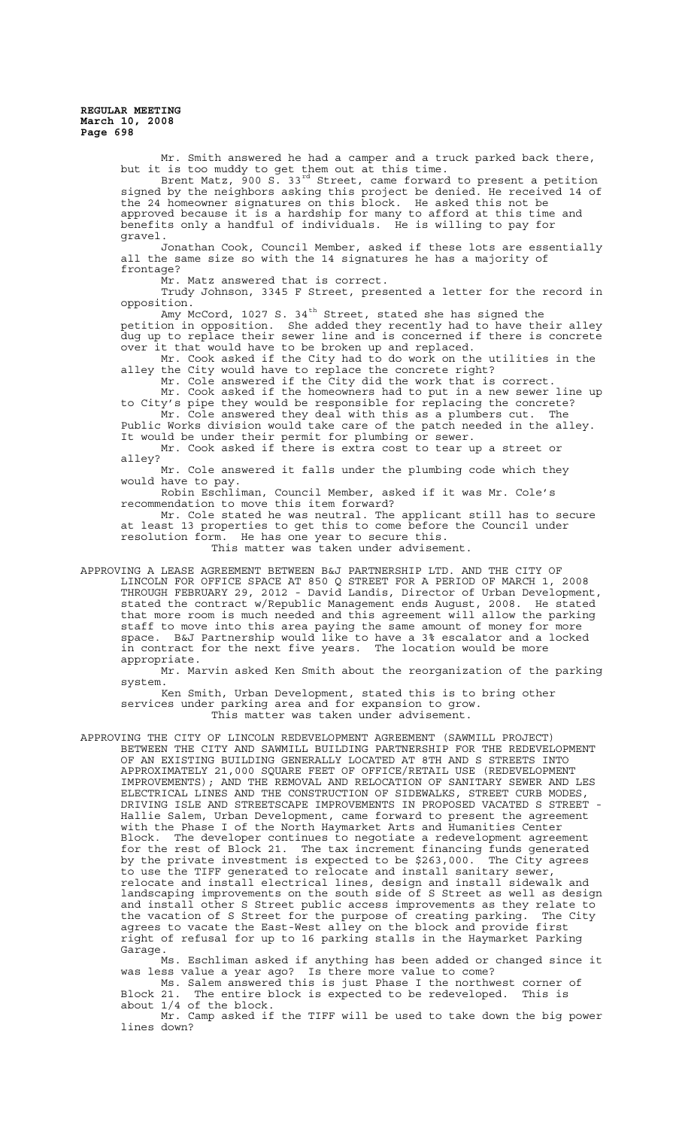> Mr. Smith answered he had a camper and a truck parked back there, but it is too muddy to get them out at this time. Brent Matz, 900 S. 33<sup>rd</sup> Street, came forward to present a petition signed by the neighbors asking this project be denied. He received 14 of the 24 homeowner signatures on this block. He asked this not be approved because it is a hardship for many to afford at this time and

> benefits only a handful of individuals. He is willing to pay for gravel. Jonathan Cook, Council Member, asked if these lots are essentially

> all the same size so with the 14 signatures he has a majority of frontage?

Mr. Matz answered that is correct.

Trudy Johnson, 3345 F Street, presented a letter for the record in opposition.

Amy McCord,  $1027$  S.  $34<sup>th</sup>$  Street, stated she has signed the petition in opposition. She added they recently had to have their alley dug up to replace their sewer line and is concerned if there is concrete over it that would have to be broken up and replaced.

Mr. Cook asked if the City had to do work on the utilities in the alley the City would have to replace the concrete right?

Mr. Cole answered if the City did the work that is correct. Mr. Cook asked if the homeowners had to put in a new sewer line up

to City's pipe they would be responsible for replacing the concrete? Mr. Cole answered they deal with this as a plumbers cut. The

Public Works division would take care of the patch needed in the alley. It would be under their permit for plumbing or sewer.

Mr. Cook asked if there is extra cost to tear up a street or alley?

Mr. Cole answered it falls under the plumbing code which they would have to pay.

Robin Eschliman, Council Member, asked if it was Mr. Cole's recommendation to move this item forward?

Mr. Cole stated he was neutral. The applicant still has to secure at least 13 properties to get this to come before the Council under resolution form. He has one year to secure this.

This matter was taken under advisement.

APPROVING A LEASE AGREEMENT BETWEEN B&J PARTNERSHIP LTD. AND THE CITY OF LINCOLN FOR OFFICE SPACE AT 850 Q STREET FOR A PERIOD OF MARCH 1, 2008 THROUGH FEBRUARY 29, 2012 - David Landis, Director of Urban Development, stated the contract w/Republic Management ends August, 2008. He stated that more room is much needed and this agreement will allow the parking staff to move into this area paying the same amount of money for more space. B&J Partnership would like to have a 3% escalator and a locked in contract for the next five years. The location would be more appropriate.

Mr. Marvin asked Ken Smith about the reorganization of the parking system.

Ken Smith, Urban Development, stated this is to bring other services under parking area and for expansion to grow. This matter was taken under advisement.

APPROVING THE CITY OF LINCOLN REDEVELOPMENT AGREEMENT (SAWMILL PROJECT) BETWEEN THE CITY AND SAWMILL BUILDING PARTNERSHIP FOR THE REDEVELOPMENT OF AN EXISTING BUILDING GENERALLY LOCATED AT 8TH AND S STREETS INTO APPROXIMATELY 21,000 SQUARE FEET OF OFFICE/RETAIL USE (REDEVELOPMENT IMPROVEMENTS); AND THE REMOVAL AND RELOCATION OF SANITARY SEWER AND LES ELECTRICAL LINES AND THE CONSTRUCTION OF SIDEWALKS, STREET CURB MODES, DRIVING ISLE AND STREETSCAPE IMPROVEMENTS IN PROPOSED VACATED S STREET Hallie Salem, Urban Development, came forward to present the agreement with the Phase I of the North Haymarket Arts and Humanities Center Block. The developer continues to negotiate a redevelopment agreement for the rest of Block 21. The tax increment financing funds generated by the private investment is expected to be \$263,000. The City agrees to use the TIFF generated to relocate and install sanitary sewer, relocate and install electrical lines, design and install sidewalk and landscaping improvements on the south side of S Street as well as design and install other S Street public access improvements as they relate to the vacation of S Street for the purpose of creating parking. The City agrees to vacate the East-West alley on the block and provide first right of refusal for up to 16 parking stalls in the Haymarket Parking Garage.

Ms. Eschliman asked if anything has been added or changed since it was less value a year ago? Is there more value to come?

Ms. Salem answered this is just Phase I the northwest corner of Block 21. The entire block is expected to be redeveloped. This is about 1/4 of the block.

Mr. Camp asked if the TIFF will be used to take down the big power lines down?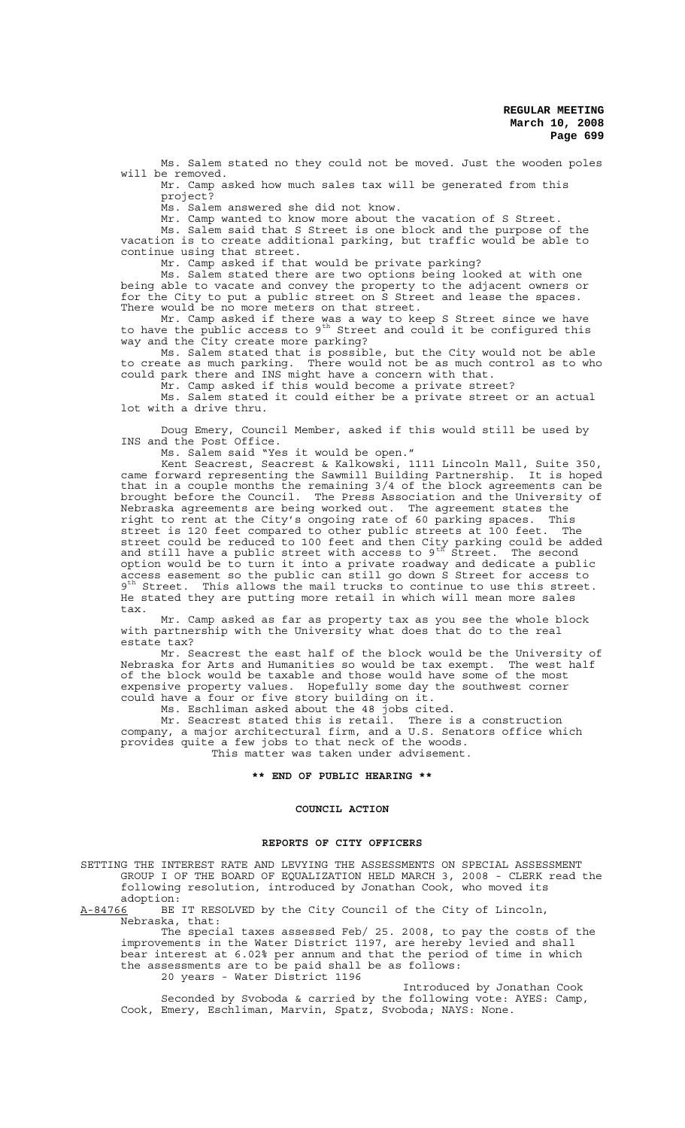Ms. Salem stated no they could not be moved. Just the wooden poles will be removed.

Mr. Camp asked how much sales tax will be generated from this project?

Ms. Salem answered she did not know.

Mr. Camp wanted to know more about the vacation of S Street.

Ms. Salem said that S Street is one block and the purpose of the vacation is to create additional parking, but traffic would be able to continue using that street.

Mr. Camp asked if that would be private parking?

Ms. Salem stated there are two options being looked at with one being able to vacate and convey the property to the adjacent owners or for the City to put a public street on S Street and lease the spaces. There would be no more meters on that street.

Mr. Camp asked if there was a way to keep S Street since we have to have the public access to  $9^{th}$  Street and could it be configured this way and the City create more parking?

Ms. Salem stated that is possible, but the City would not be able to create as much parking. There would not be as much control as to who could park there and INS might have a concern with that.

Mr. Camp asked if this would become a private street? Ms. Salem stated it could either be a private street or an actual lot with a drive thru.

Doug Emery, Council Member, asked if this would still be used by INS and the Post Office.

Ms. Salem said "Yes it would be open."

Kent Seacrest, Seacrest & Kalkowski, 1111 Lincoln Mall, Suite 350, came forward representing the Sawmill Building Partnership. It is hoped that in a couple months the remaining 3/4 of the block agreements can be brought before the Council. The Press Association and the University of Nebraska agreements are being worked out. The agreement states the right to rent at the City's ongoing rate of 60 parking spaces. This street is 120 feet compared to other public streets at 100 feet. The street could be reduced to 100 feet and then City parking could be added and still have a public street with access to  $9^{th}$  Street. The second option would be to turn it into a private roadway and dedicate a public access easement so the public can still go down S Street for access to 9<sup>th</sup> Street. This allows the mail trucks to continue to use this street. He stated they are putting more retail in which will mean more sales tax.

Mr. Camp asked as far as property tax as you see the whole block with partnership with the University what does that do to the real estate tax?

Mr. Seacrest the east half of the block would be the University of Nebraska for Arts and Humanities so would be tax exempt. The west half of the block would be taxable and those would have some of the most expensive property values. Hopefully some day the southwest corner could have a four or five story building on it.

Ms. Eschliman asked about the 48 jobs cited.

Mr. Seacrest stated this is retail. There is a construction company, a major architectural firm, and a U.S. Senators office which provides quite a few jobs to that neck of the woods. This matter was taken under advisement.

### **\*\* END OF PUBLIC HEARING \*\***

## **COUNCIL ACTION**

## **REPORTS OF CITY OFFICERS**

SETTING THE INTEREST RATE AND LEVYING THE ASSESSMENTS ON SPECIAL ASSESSMENT GROUP I OF THE BOARD OF EQUALIZATION HELD MARCH 3, 2008 - CLERK read the following resolution, introduced by Jonathan Cook, who moved its

adoption:<br>A-84766 BE BE IT RESOLVED by the City Council of the City of Lincoln, Nebraska, that:

The special taxes assessed Feb/ 25. 2008, to pay the costs of the improvements in the Water District 1197, are hereby levied and shall bear interest at 6.02% per annum and that the period of time in which the assessments are to be paid shall be as follows: 20 years - Water District 1196

Introduced by Jonathan Cook Seconded by Svoboda & carried by the following vote: AYES: Camp, Cook, Emery, Eschliman, Marvin, Spatz, Svoboda; NAYS: None.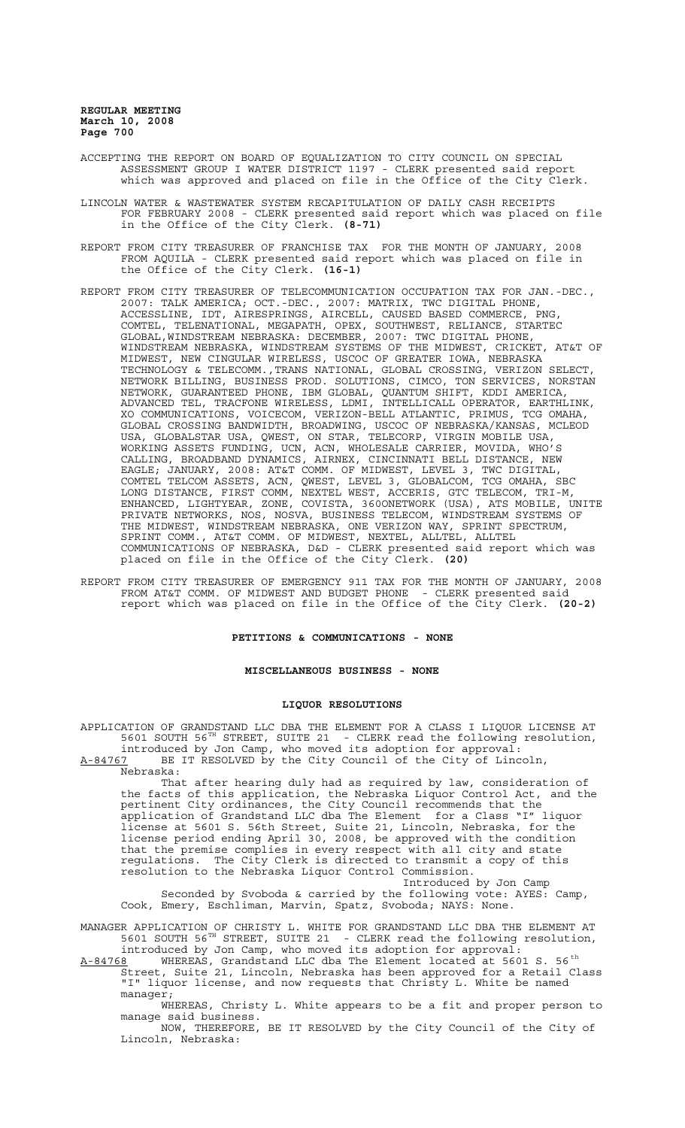- ACCEPTING THE REPORT ON BOARD OF EQUALIZATION TO CITY COUNCIL ON SPECIAL ASSESSMENT GROUP I WATER DISTRICT 1197 - CLERK presented said report which was approved and placed on file in the Office of the City Clerk.
- LINCOLN WATER & WASTEWATER SYSTEM RECAPITULATION OF DAILY CASH RECEIPTS FOR FEBRUARY 2008 - CLERK presented said report which was placed on file in the Office of the City Clerk. **(8-71)**
- REPORT FROM CITY TREASURER OF FRANCHISE TAX FOR THE MONTH OF JANUARY, 2008 FROM AQUILA - CLERK presented said report which was placed on file in the Office of the City Clerk. **(16-1)**
- REPORT FROM CITY TREASURER OF TELECOMMUNICATION OCCUPATION TAX FOR JAN.-DEC., 2007: TALK AMERICA; OCT.-DEC., 2007: MATRIX, TWC DIGITAL PHONE,<br>ACCESSLINE, IDT, AIRESPRINGS, AIRCELL, CAUSED BASED COMMERCE, PNG ACCESSLINE, IDT, AIRESPRINGS, AIRCELL, CAUSED BASED COMMERCE, PNG, COMTEL, TELENATIONAL, MEGAPATH, OPEX, SOUTHWEST, RELIANCE, STARTEC GLOBAL,WINDSTREAM NEBRASKA: DECEMBER, 2007: TWC DIGITAL PHONE, WINDSTREAM NEBRASKA, WINDSTREAM SYSTEMS OF THE MIDWEST, CRICKET, AT&T OF MIDWEST, NEW CINGULAR WIRELESS, USCOC OF GREATER IOWA, NEBRASKA TECHNOLOGY & TELECOMM.,TRANS NATIONAL, GLOBAL CROSSING, VERIZON SELECT, NETWORK BILLING, BUSINESS PROD. SOLUTIONS, CIMCO, TON SERVICES, NORSTAN NETWORK, GUARANTEED PHONE, IBM GLOBAL, QUANTUM SHIFT, KDDI AMERICA, ADVANCED TEL, TRACFONE WIRELESS, LDMI, INTELLICALL OPERATOR, EARTHLINK, XO COMMUNICATIONS, VOICECOM, VERIZON-BELL ATLANTIC, PRIMUS, TCG OMAHA, GLOBAL CROSSING BANDWIDTH, BROADWING, USCOC OF NEBRASKA/KANSAS, MCLEOD USA, GLOBALSTAR USA, QWEST, ON STAR, TELECORP, VIRGIN MOBILE USA, WORKING ASSETS FUNDING, UCN, ACN, WHOLESALE CARRIER, MOVIDA, WHO'S CALLING, BROADBAND DYNAMICS, AIRNEX, CINCINNATI BELL DISTANCE, NEW EAGLE; JANUARY, 2008: AT&T COMM. OF MIDWEST, LEVEL 3, TWC DIGITAL, COMTEL TELCOM ASSETS, ACN, QWEST, LEVEL 3, GLOBALCOM, TCG OMAHA, SBC LONG DISTANCE, FIRST COMM, NEXTEL WEST, ACCERIS, GTC TELECOM, TRI-M, ENHANCED, LIGHTYEAR, ZONE, COVISTA, 360ONETWORK (USA), ATS MOBILE, UNITE PRIVATE NETWORKS, NOS, NOSVA, BUSINESS TELECOM, WINDSTREAM SYSTEMS OF THE MIDWEST, WINDSTREAM NEBRASKA, ONE VERIZON WAY, SPRINT SPECTRUM, SPRINT COMM., AT&T COMM. OF MIDWEST, NEXTEL, ALLTEL, ALLTEL COMMUNICATIONS OF NEBRASKA, D&D - CLERK presented said report which was placed on file in the Office of the City Clerk. **(20)**
- REPORT FROM CITY TREASURER OF EMERGENCY 911 TAX FOR THE MONTH OF JANUARY, 2008 FROM AT&T COMM. OF MIDWEST AND BUDGET PHONE - CLERK presented said report which was placed on file in the Office of the City Clerk. **(20-2)**

### **PETITIONS & COMMUNICATIONS - NONE**

### **MISCELLANEOUS BUSINESS - NONE**

### **LIQUOR RESOLUTIONS**

APPLICATION OF GRANDSTAND LLC DBA THE ELEMENT FOR A CLASS I LIQUOR LICENSE AT 5601 SOUTH 56TH STREET, SUITE 21 - CLERK read the following resolution, introduced by Jon Camp, who moved its adoption for approval: A-84767 BE IT RESOLVED by the City Council of the City of Lincoln, Nebraska:

That after hearing duly had as required by law, consideration of the facts of this application, the Nebraska Liquor Control Act, and the pertinent City ordinances, the City Council recommends that the application of Grandstand LLC dba The Element for a Class "I" liquor license at 5601 S. 56th Street, Suite 21, Lincoln, Nebraska, for the license period ending April 30, 2008, be approved with the condition that the premise complies in every respect with all city and state regulations. The City Clerk is directed to transmit a copy of this resolution to the Nebraska Liquor Control Commission.

Introduced by Jon Camp Seconded by Svoboda & carried by the following vote: AYES: Camp, Cook, Emery, Eschliman, Marvin, Spatz, Svoboda; NAYS: None.

MANAGER APPLICATION OF CHRISTY L. WHITE FOR GRANDSTAND LLC DBA THE ELEMENT AT 5601 SOUTH 56TH STREET, SUITE 21 - CLERK read the following resolution, introduced by Jon Camp, who moved its adoption for approval:

A-84768 MHEREAS, Grandstand LLC dba The Element located at 5601 S. 56<sup>th</sup> Street, Suite 21, Lincoln, Nebraska has been approved for a Retail Class "I" liquor license, and now requests that Christy L. White be named

manager; WHEREAS, Christy L. White appears to be a fit and proper person to

manage said business. NOW, THEREFORE, BE IT RESOLVED by the City Council of the City of Lincoln, Nebraska: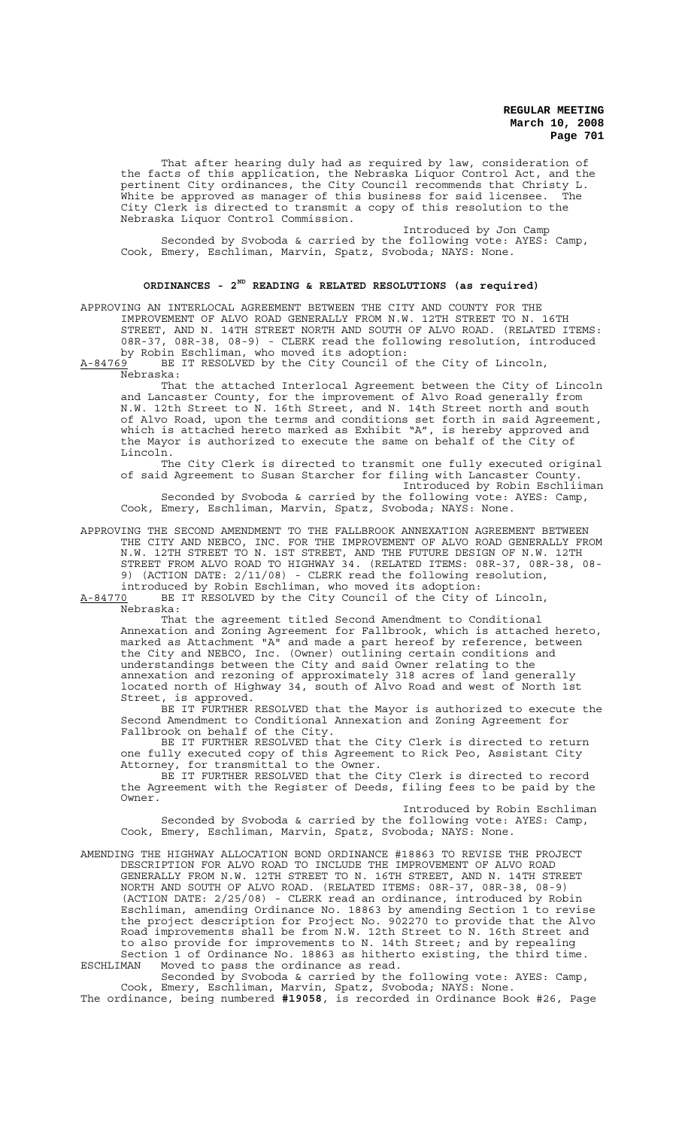That after hearing duly had as required by law, consideration of the facts of this application, the Nebraska Liquor Control Act, and the pertinent City ordinances, the City Council recommends that Christy L. White be approved as manager of this business for said licensee. The City Clerk is directed to transmit a copy of this resolution to the Nebraska Liquor Control Commission.

Introduced by Jon Camp Seconded by Svoboda & carried by the following vote: AYES: Camp, Cook, Emery, Eschliman, Marvin, Spatz, Svoboda; NAYS: None.

# **ORDINANCES - 2ND READING & RELATED RESOLUTIONS (as required)**

APPROVING AN INTERLOCAL AGREEMENT BETWEEN THE CITY AND COUNTY FOR THE IMPROVEMENT OF ALVO ROAD GENERALLY FROM N.W. 12TH STREET TO N. 16TH STREET, AND N. 14TH STREET NORTH AND SOUTH OF ALVO ROAD. (RELATED ITEMS: 08R-37, 08R-38, 08-9) - CLERK read the following resolution, introduced by Robin Eschliman, who moved its adoption:

A-84769 BE IT RESOLVED by the City Council of the City of Lincoln,  $A-84769$  BE<br>Nebraska:

That the attached Interlocal Agreement between the City of Lincoln and Lancaster County, for the improvement of Alvo Road generally from N.W. 12th Street to N. 16th Street, and N. 14th Street north and south of Alvo Road, upon the terms and conditions set forth in said Agreement, which is attached hereto marked as Exhibit "A", is hereby approved and the Mayor is authorized to execute the same on behalf of the City of Lincoln.

The City Clerk is directed to transmit one fully executed original of said Agreement to Susan Starcher for filing with Lancaster County. Introduced by Robin Eschliiman Seconded by Svoboda & carried by the following vote: AYES: Camp,

Cook, Emery, Eschliman, Marvin, Spatz, Svoboda; NAYS: None.

APPROVING THE SECOND AMENDMENT TO THE FALLBROOK ANNEXATION AGREEMENT BETWEEN THE CITY AND NEBCO, INC. FOR THE IMPROVEMENT OF ALVO ROAD GENERALLY FROM N.W. 12TH STREET TO N. 1ST STREET, AND THE FUTURE DESIGN OF N.W. 12TH STREET FROM ALVO ROAD TO HIGHWAY 34. (RELATED ITEMS: 08R-37, 08R-38, 08- 9) (ACTION DATE: 2/11/08) - CLERK read the following resolution, introduced by Robin Eschliman, who moved its adoption:

A-84770 BE IT RESOLVED by the City Council of the City of Lincoln, Nebraska:

That the agreement titled Second Amendment to Conditional Annexation and Zoning Agreement for Fallbrook, which is attached hereto, marked as Attachment "A" and made a part hereof by reference, between the City and NEBCO, Inc. (Owner) outlining certain conditions and understandings between the City and said Owner relating to the annexation and rezoning of approximately 318 acres of land generally located north of Highway 34, south of Alvo Road and west of North 1st Street, is approved.

BE IT FURTHER RESOLVED that the Mayor is authorized to execute the Second Amendment to Conditional Annexation and Zoning Agreement for Fallbrook on behalf of the City.

BE IT FURTHER RESOLVED that the City Clerk is directed to return one fully executed copy of this Agreement to Rick Peo, Assistant City Attorney, for transmittal to the Owner.

BE IT FURTHER RESOLVED that the City Clerk is directed to record the Agreement with the Register of Deeds, filing fees to be paid by the Owner.

Introduced by Robin Eschliman Seconded by Svoboda & carried by the following vote: AYES: Camp, Cook, Emery, Eschliman, Marvin, Spatz, Svoboda; NAYS: None.

AMENDING THE HIGHWAY ALLOCATION BOND ORDINANCE #18863 TO REVISE THE PROJECT DESCRIPTION FOR ALVO ROAD TO INCLUDE THE IMPROVEMENT OF ALVO ROAD GENERALLY FROM N.W. 12TH STREET TO N. 16TH STREET, AND N. 14TH STREET NORTH AND SOUTH OF ALVO ROAD. (RELATED ITEMS: 08R-37, 08R-38, 08-9) (ACTION DATE: 2/25/08) - CLERK read an ordinance, introduced by Robin Eschliman, amending Ordinance No. 18863 by amending Section 1 to revise the project description for Project No. 902270 to provide that the Alvo Road improvements shall be from N.W. 12th Street to N. 16th Street and to also provide for improvements to N. 14th Street; and by repealing Section 1 of Ordinance No. 18863 as hitherto existing, the third time. ESCHLIMAN Moved to pass the ordinance as read.

Seconded by Svoboda & carried by the following vote: AYES: Camp, Cook, Emery, Eschliman, Marvin, Spatz, Svoboda; NAYS: None. The ordinance, being numbered **#19058**, is recorded in Ordinance Book #26, Page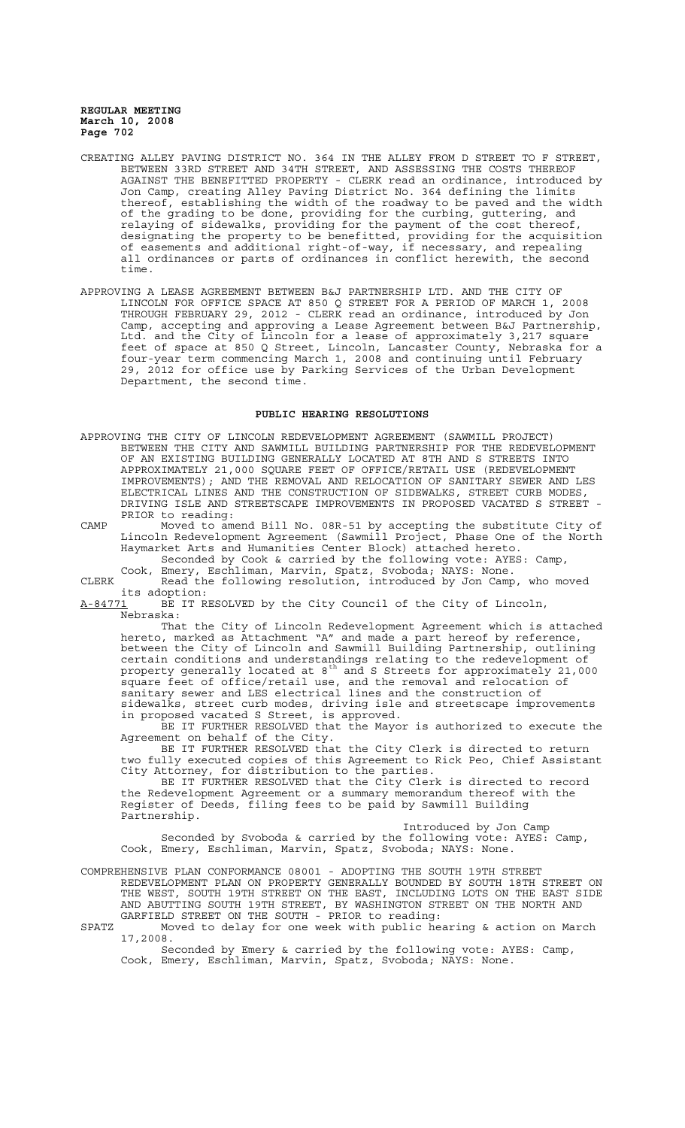- CREATING ALLEY PAVING DISTRICT NO. 364 IN THE ALLEY FROM D STREET TO F STREET, BETWEEN 33RD STREET AND 34TH STREET, AND ASSESSING THE COSTS THEREOF AGAINST THE BENEFITTED PROPERTY - CLERK read an ordinance, introduced by Jon Camp, creating Alley Paving District No. 364 defining the limits thereof, establishing the width of the roadway to be paved and the width of the grading to be done, providing for the curbing, guttering, and relaying of sidewalks, providing for the payment of the cost thereof, designating the property to be benefitted, providing for the acquisition of easements and additional right-of-way, if necessary, and repealing all ordinances or parts of ordinances in conflict herewith, the second time.
- APPROVING A LEASE AGREEMENT BETWEEN B&J PARTNERSHIP LTD. AND THE CITY OF LINCOLN FOR OFFICE SPACE AT 850 Q STREET FOR A PERIOD OF MARCH 1, 2008 THROUGH FEBRUARY 29, 2012 - CLERK read an ordinance, introduced by Jon Camp, accepting and approving a Lease Agreement between B&J Partnership, Ltd. and the City of Lincoln for a lease of approximately 3,217 square feet of space at 850 Q Street, Lincoln, Lancaster County, Nebraska for a four-year term commencing March 1, 2008 and continuing until February 29, 2012 for office use by Parking Services of the Urban Development Department, the second time.

## **PUBLIC HEARING RESOLUTIONS**

- APPROVING THE CITY OF LINCOLN REDEVELOPMENT AGREEMENT (SAWMILL PROJECT) BETWEEN THE CITY AND SAWMILL BUILDING PARTNERSHIP FOR THE REDEVELOPMENT<br>OF AN EXISTING BUILDING GENERALLY LOCATED AT 8TH AND S STREETS INTO OF AN EXISTING BUILDING GENERALLY LOCATED AT 8TH AND S STREETS APPROXIMATELY 21,000 SQUARE FEET OF OFFICE/RETAIL USE (REDEVELOPMENT IMPROVEMENTS); AND THE REMOVAL AND RELOCATION OF SANITARY SEWER AND LES ELECTRICAL LINES AND THE CONSTRUCTION OF SIDEWALKS, STREET CURB MODES, DRIVING ISLE AND STREETSCAPE IMPROVEMENTS IN PROPOSED VACATED S STREET - PRIOR to reading:
- CAMP Moved to amend Bill No. 08R-51 by accepting the substitute City of Lincoln Redevelopment Agreement (Sawmill Project, Phase One of the North Haymarket Arts and Humanities Center Block) attached hereto.

Seconded by Cook & carried by the following vote: AYES: Camp, Cook, Emery, Eschliman, Marvin, Spatz, Svoboda; NAYS: None.

CLERK Read the following resolution, introduced by Jon Camp, who moved its adoption:

A-84771 BE IT RESOLVED by the City Council of the City of Lincoln, Nebraska:

That the City of Lincoln Redevelopment Agreement which is attached hereto, marked as Attachment "A" and made a part hereof by reference, between the City of Lincoln and Sawmill Building Partnership, outlining certain conditions and understandings relating to the redevelopment of property generally located at 8<sup>th</sup> and S Streets for approximately 21,000 square feet of office/retail use, and the removal and relocation of sanitary sewer and LES electrical lines and the construction of sidewalks, street curb modes, driving isle and streetscape improvements in proposed vacated S Street, is approved.

BE IT FURTHER RESOLVED that the Mayor is authorized to execute the Agreement on behalf of the City.

BE IT FURTHER RESOLVED that the City Clerk is directed to return two fully executed copies of this Agreement to Rick Peo, Chief Assistant City Attorney, for distribution to the parties.

BE IT FURTHER RESOLVED that the City Clerk is directed to record the Redevelopment Agreement or a summary memorandum thereof with the Register of Deeds, filing fees to be paid by Sawmill Building Partnership.

Introduced by Jon Camp Seconded by Svoboda & carried by the following vote: AYES: Camp, Cook, Emery, Eschliman, Marvin, Spatz, Svoboda; NAYS: None.

COMPREHENSIVE PLAN CONFORMANCE 08001 - ADOPTING THE SOUTH 19TH STREET REDEVELOPMENT PLAN ON PROPERTY GENERALLY BOUNDED BY SOUTH 18TH STREET ON THE WEST, SOUTH 19TH STREET ON THE EAST, INCLUDING LOTS ON THE EAST SIDE AND ABUTTING SOUTH 19TH STREET, BY WASHINGTON STREET ON THE NORTH AND GARFIELD STREET ON THE SOUTH - PRIOR to reading:

SPATZ Moved to delay for one week with public hearing & action on March 17,2008.

Seconded by Emery & carried by the following vote: AYES: Camp, Cook, Emery, Eschliman, Marvin, Spatz, Svoboda; NAYS: None.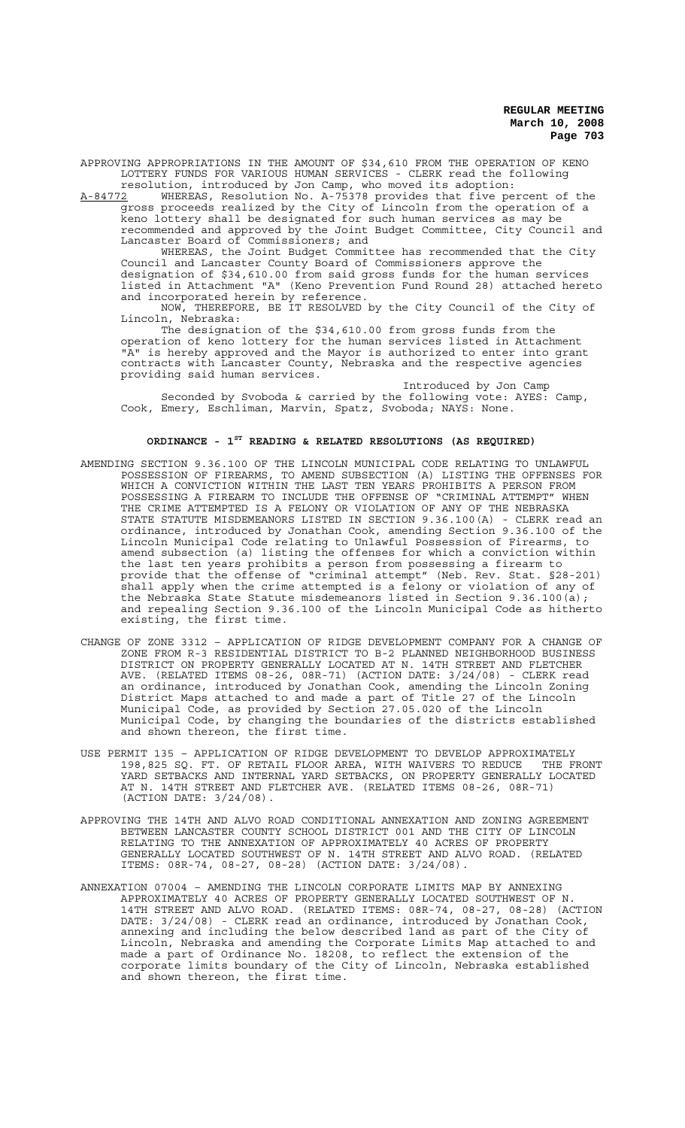APPROVING APPROPRIATIONS IN THE AMOUNT OF \$34,610 FROM THE OPERATION OF KENO LOTTERY FUNDS FOR VARIOUS HUMAN SERVICES - CLERK read the following resolution, introduced by Jon Camp, who moved its adoption:

A-84772 WHEREAS, Resolution No. A-75378 provides that five percent of the gross proceeds realized by the City of Lincoln from the operation of a keno lottery shall be designated for such human services as may be recommended and approved by the Joint Budget Committee, City Council and Lancaster Board of Commissioners; and

WHEREAS, the Joint Budget Committee has recommended that the City Council and Lancaster County Board of Commissioners approve the designation of \$34,610.00 from said gross funds for the human services listed in Attachment "A" (Keno Prevention Fund Round 28) attached hereto and incorporated herein by reference.

NOW, THEREFORE, BE IT RESOLVED by the City Council of the City of Lincoln, Nebraska:

The designation of the \$34,610.00 from gross funds from the operation of keno lottery for the human services listed in Attachment "A" is hereby approved and the Mayor is authorized to enter into grant contracts with Lancaster County, Nebraska and the respective agencies providing said human services.

Introduced by Jon Camp Seconded by Svoboda & carried by the following vote: AYES: Camp, Cook, Emery, Eschliman, Marvin, Spatz, Svoboda; NAYS: None.

# **ORDINANCE - 1ST READING & RELATED RESOLUTIONS (AS REQUIRED)**

- AMENDING SECTION 9.36.100 OF THE LINCOLN MUNICIPAL CODE RELATING TO UNLAWFUL POSSESSION OF FIREARMS, TO AMEND SUBSECTION (A) LISTING THE OFFENSES FOR WHICH A CONVICTION WITHIN THE LAST TEN YEARS PROHIBITS A PERSON FROM POSSESSING A FIREARM TO INCLUDE THE OFFENSE OF "CRIMINAL ATTEMPT" WHEN THE CRIME ATTEMPTED IS A FELONY OR VIOLATION OF ANY OF THE NEBRASKA STATE STATUTE MISDEMEANORS LISTED IN SECTION 9.36.100(A) - CLERK read an ordinance, introduced by Jonathan Cook, amending Section 9.36.100 of the Lincoln Municipal Code relating to Unlawful Possession of Firearms, to amend subsection (a) listing the offenses for which a conviction within the last ten years prohibits a person from possessing a firearm to provide that the offense of "criminal attempt" (Neb. Rev. Stat. §28-201) shall apply when the crime attempted is a felony or violation of any of the Nebraska State Statute misdemeanors listed in Section 9.36.100(a); and repealing Section 9.36.100 of the Lincoln Municipal Code as hitherto existing, the first time.
- CHANGE OF ZONE 3312 APPLICATION OF RIDGE DEVELOPMENT COMPANY FOR A CHANGE OF ZONE FROM R-3 RESIDENTIAL DISTRICT TO B-2 PLANNED NEIGHBORHOOD BUSINESS DISTRICT ON PROPERTY GENERALLY LOCATED AT N. 14TH STREET AND FLETCHER AVE. (RELATED ITEMS 08-26, 08R-71) (ACTION DATE: 3/24/08) - CLERK read an ordinance, introduced by Jonathan Cook, amending the Lincoln Zoning District Maps attached to and made a part of Title 27 of the Lincoln Municipal Code, as provided by Section 27.05.020 of the Lincoln Municipal Code, by changing the boundaries of the districts established and shown thereon, the first time.
- USE PERMIT 135 APPLICATION OF RIDGE DEVELOPMENT TO DEVELOP APPROXIMATELY 198,825 SQ. FT. OF RETAIL FLOOR AREA, WITH WAIVERS TO REDUCE THE FRONT YARD SETBACKS AND INTERNAL YARD SETBACKS, ON PROPERTY GENERALLY LOCATED AT N. 14TH STREET AND FLETCHER AVE. (RELATED ITEMS 08-26, 08R-71) (ACTION DATE: 3/24/08).
- APPROVING THE 14TH AND ALVO ROAD CONDITIONAL ANNEXATION AND ZONING AGREEMENT BETWEEN LANCASTER COUNTY SCHOOL DISTRICT 001 AND THE CITY OF LINCOLN RELATING TO THE ANNEXATION OF APPROXIMATELY 40 ACRES OF PROPERTY GENERALLY LOCATED SOUTHWEST OF N. 14TH STREET AND ALVO ROAD. (RELATED ITEMS: 08R-74, 08-27, 08-28) (ACTION DATE: 3/24/08).
- ANNEXATION 07004 AMENDING THE LINCOLN CORPORATE LIMITS MAP BY ANNEXING APPROXIMATELY 40 ACRES OF PROPERTY GENERALLY LOCATED SOUTHWEST OF N. 14TH STREET AND ALVO ROAD. (RELATED ITEMS: 08R-74, 08-27, 08-28) (ACTION DATE: 3/24/08) - CLERK read an ordinance, introduced by Jonathan Cook, annexing and including the below described land as part of the City of Lincoln, Nebraska and amending the Corporate Limits Map attached to and made a part of Ordinance No. 18208, to reflect the extension of the corporate limits boundary of the City of Lincoln, Nebraska established and shown thereon, the first time.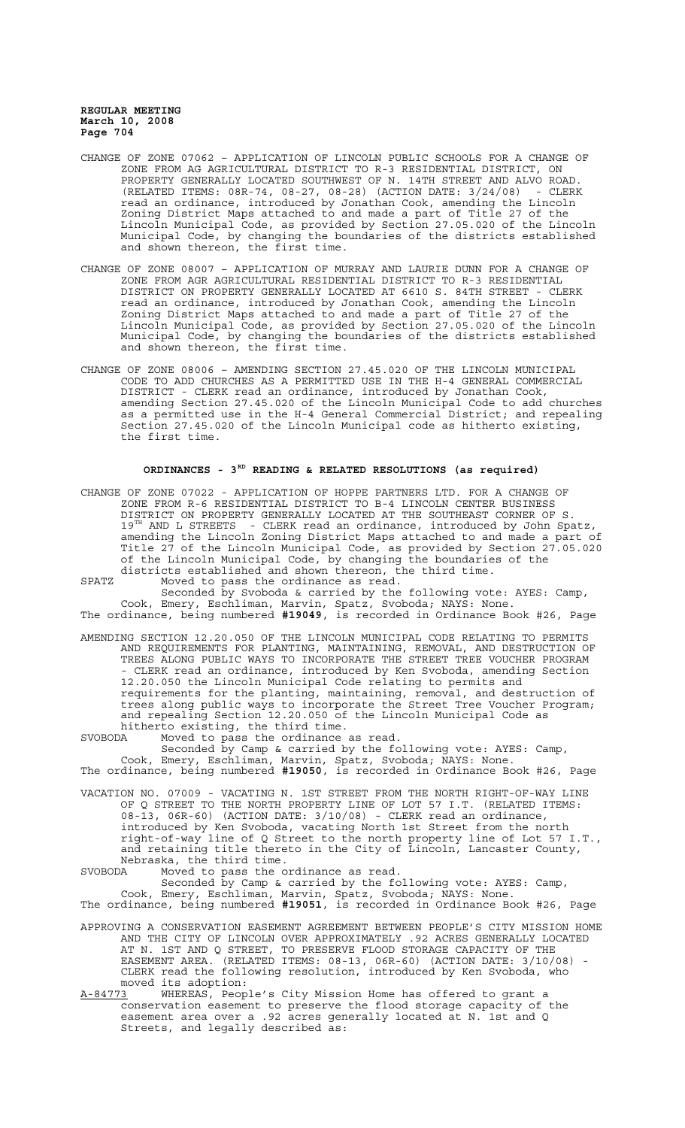- CHANGE OF ZONE 07062 APPLICATION OF LINCOLN PUBLIC SCHOOLS FOR A CHANGE OF ZONE FROM AG AGRICULTURAL DISTRICT TO R-3 RESIDENTIAL DISTRICT, ON PROPERTY GENERALLY LOCATED SOUTHWEST OF N. 14TH STREET AND ALVO ROAD. (RELATED ITEMS: 08R-74, 08-27, 08-28) (ACTION DATE: 3/24/08) - CLERK read an ordinance, introduced by Jonathan Cook, amending the Lincoln Zoning District Maps attached to and made a part of Title 27 of the Lincoln Municipal Code, as provided by Section 27.05.020 of the Lincoln Municipal Code, by changing the boundaries of the districts established and shown thereon, the first time.
- CHANGE OF ZONE 08007 APPLICATION OF MURRAY AND LAURIE DUNN FOR A CHANGE OF ZONE FROM AGR AGRICULTURAL RESIDENTIAL DISTRICT TO R-3 RESIDENTIAL DISTRICT ON PROPERTY GENERALLY LOCATED AT 6610 S. 84TH STREET - CLERK read an ordinance, introduced by Jonathan Cook, amending the Lincoln Zoning District Maps attached to and made a part of Title 27 of the Lincoln Municipal Code, as provided by Section 27.05.020 of the Lincoln Municipal Code, by changing the boundaries of the districts established and shown thereon, the first time.
- CHANGE OF ZONE 08006 AMENDING SECTION 27.45.020 OF THE LINCOLN MUNICIPAL CODE TO ADD CHURCHES AS A PERMITTED USE IN THE H-4 GENERAL COMMERCIAL DISTRICT - CLERK read an ordinance, introduced by Jonathan Cook, amending Section 27.45.020 of the Lincoln Municipal Code to add churches as a permitted use in the H-4 General Commercial District; and repealing Section 27.45.020 of the Lincoln Municipal code as hitherto existing, the first time.

# **ORDINANCES - 3RD READING & RELATED RESOLUTIONS (as required)**

CHANGE OF ZONE 07022 - APPLICATION OF HOPPE PARTNERS LTD. FOR A CHANGE OF ZONE FROM R-6 RESIDENTIAL DISTRICT TO B-4 LINCOLN CENTER BUSINESS DISTRICT ON PROPERTY GENERALLY LOCATED AT THE SOUTHEAST CORNER OF S. 19<sup>TH</sup> AND L STREETS - CLERK read an ordinance, introduced by John Spatz, amending the Lincoln Zoning District Maps attached to and made a part of Title 27 of the Lincoln Municipal Code, as provided by Section 27.05.020 of the Lincoln Municipal Code, by changing the boundaries of the districts established and shown thereon, the third time.

SPATZ Moved to pass the ordinance as read.

Seconded by Svoboda & carried by the following vote: AYES: Camp, Cook, Emery, Eschliman, Marvin, Spatz, Svoboda; NAYS: None. The ordinance, being numbered **#19049**, is recorded in Ordinance Book #26, Page

AMENDING SECTION 12.20.050 OF THE LINCOLN MUNICIPAL CODE RELATING TO PERMITS AND REQUIREMENTS FOR PLANTING, MAINTAINING, REMOVAL, AND DESTRUCTION OF TREES ALONG PUBLIC WAYS TO INCORPORATE THE STREET TREE VOUCHER PROGRAM - CLERK read an ordinance, introduced by Ken Svoboda, amending Section 12.20.050 the Lincoln Municipal Code relating to permits and

requirements for the planting, maintaining, removal, and destruction of trees along public ways to incorporate the Street Tree Voucher Program; and repealing Section 12.20.050 of the Lincoln Municipal Code as hitherto existing, the third time.<br>SVOBODA Moved to pass the ordinance

SVOBODA Moved to pass the ordinance as read. Seconded by Camp & carried by the following vote: AYES: Camp, Cook, Emery, Eschliman, Marvin, Spatz, Svoboda; NAYS: None.

The ordinance, being numbered **#19050**, is recorded in Ordinance Book #26, Page

VACATION NO. 07009 - VACATING N. 1ST STREET FROM THE NORTH RIGHT-OF-WAY LINE OF Q STREET TO THE NORTH PROPERTY LINE OF LOT 57 I.T. (RELATED ITEMS: 08-13, 06R-60) (ACTION DATE: 3/10/08) - CLERK read an ordinance, introduced by Ken Svoboda, vacating North 1st Street from the north right-of-way line of Q Street to the north property line of Lot 57 I.T., and retaining title thereto in the City of Lincoln, Lancaster County, Nebraska, the third time.<br>SVORODA Moved to pass the o

Moved to pass the ordinance as read.

Seconded by Camp & carried by the following vote: AYES: Camp, Cook, Emery, Eschliman, Marvin, Spatz, Svoboda; NAYS: None. The ordinance, being numbered **#19051**, is recorded in Ordinance Book #26, Page

- APPROVING A CONSERVATION EASEMENT AGREEMENT BETWEEN PEOPLE'S CITY MISSION HOME AND THE CITY OF LINCOLN OVER APPROXIMATELY .92 ACRES GENERALLY LOCATED AT N. 1ST AND Q STREET, TO PRESERVE FLOOD STORAGE CAPACITY OF THE EASEMENT AREA. (RELATED ITEMS: 08-13, 06R-60) (ACTION DATE: 3/10/08) - CLERK read the following resolution, introduced by Ken Svoboda, who moved its adoption:
- A-84773 WHEREAS, People's City Mission Home has offered to grant a conservation easement to preserve the flood storage capacity of the easement area over a .92 acres generally located at N. 1st and Q Streets, and legally described as: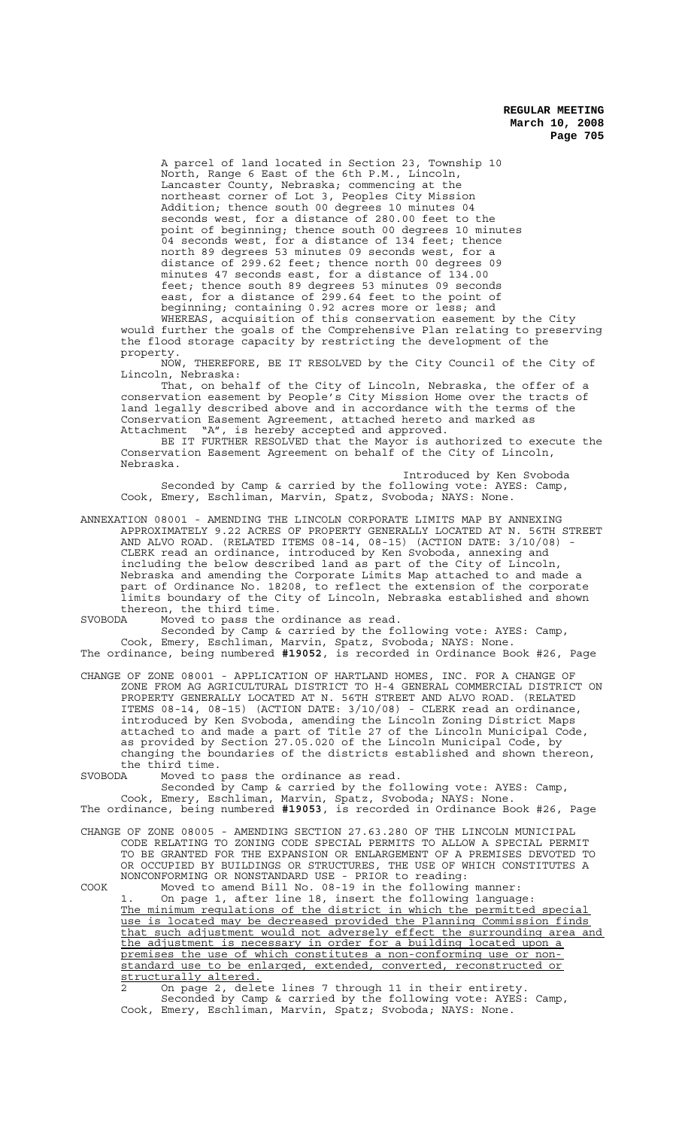A parcel of land located in Section 23, Township 10 North, Range 6 East of the 6th P.M., Lincoln, Lancaster County, Nebraska; commencing at the northeast corner of Lot 3, Peoples City Mission Addition; thence south 00 degrees 10 minutes 04 seconds west, for a distance of 280.00 feet to the point of beginning; thence south 00 degrees 10 minutes 04 seconds west, for a distance of 134 feet; thence north 89 degrees 53 minutes 09 seconds west, for a distance of 299.62 feet; thence north 00 degrees 09 minutes 47 seconds east, for a distance of 134.00 feet; thence south 89 degrees 53 minutes 09 seconds east, for a distance of 299.64 feet to the point of beginning; containing 0.92 acres more or less; and

WHEREAS, acquisition of this conservation easement by the City would further the goals of the Comprehensive Plan relating to preserving the flood storage capacity by restricting the development of the property.

NOW, THEREFORE, BE IT RESOLVED by the City Council of the City of Lincoln, Nebraska:

That, on behalf of the City of Lincoln, Nebraska, the offer of a conservation easement by People's City Mission Home over the tracts of land legally described above and in accordance with the terms of the Conservation Easement Agreement, attached hereto and marked as Attachment "A", is hereby accepted and approved.

BE IT FURTHER RESOLVED that the Mayor is authorized to execute the Conservation Easement Agreement on behalf of the City of Lincoln, Nebraska.

Introduced by Ken Svoboda Seconded by Camp & carried by the following vote: AYES: Camp, Cook, Emery, Eschliman, Marvin, Spatz, Svoboda; NAYS: None.

ANNEXATION 08001 - AMENDING THE LINCOLN CORPORATE LIMITS MAP BY ANNEXING APPROXIMATELY 9.22 ACRES OF PROPERTY GENERALLY LOCATED AT N. 56TH STREET AND ALVO ROAD. (RELATED ITEMS 08-14, 08-15) (ACTION DATE: 3/10/08) - CLERK read an ordinance, introduced by Ken Svoboda, annexing and including the below described land as part of the City of Lincoln, Nebraska and amending the Corporate Limits Map attached to and made a part of Ordinance No. 18208, to reflect the extension of the corporate limits boundary of the City of Lincoln, Nebraska established and shown thereon, the third time.<br>SVOBODA Moved to pass the

SVOBODA Moved to pass the ordinance as read.

Seconded by Camp & carried by the following vote: AYES: Camp, Cook, Emery, Eschliman, Marvin, Spatz, Svoboda; NAYS: None. The ordinance, being numbered **#19052**, is recorded in Ordinance Book #26, Page

CHANGE OF ZONE 08001 - APPLICATION OF HARTLAND HOMES, INC. FOR A CHANGE OF ZONE FROM AG AGRICULTURAL DISTRICT TO H-4 GENERAL COMMERCIAL DISTRICT ON PROPERTY GENERALLY LOCATED AT N. 56TH STREET AND ALVO ROAD. (RELATED ITEMS 08-14, 08-15) (ACTION DATE: 3/10/08) - CLERK read an ordinance, introduced by Ken Svoboda, amending the Lincoln Zoning District Maps attached to and made a part of Title 27 of the Lincoln Municipal Code, as provided by Section 27.05.020 of the Lincoln Municipal Code, by changing the boundaries of the districts established and shown thereon, the third time.

SVOBODA Moved to pass the ordinance as read.

Seconded by Camp & carried by the following vote: AYES: Camp, Cook, Emery, Eschliman, Marvin, Spatz, Svoboda; NAYS: None.

The ordinance, being numbered **#19053**, is recorded in Ordinance Book #26, Page

CHANGE OF ZONE 08005 - AMENDING SECTION 27.63.280 OF THE LINCOLN MUNICIPAL CODE RELATING TO ZONING CODE SPECIAL PERMITS TO ALLOW A SPECIAL PERMIT TO BE GRANTED FOR THE EXPANSION OR ENLARGEMENT OF A PREMISES DEVOTED TO OR OCCUPIED BY BUILDINGS OR STRUCTURES, THE USE OF WHICH CONSTITUTES A NONCONFORMING OR NONSTANDARD USE - PRIOR to reading:

COOK Moved to amend Bill No. 08-19 in the following manner: 1. On page 1, after line 18, insert the following language:

The minimum regulations of the district in which the permitted special use is located may be decreased provided the Planning Commission finds that such adjustment would not adversely effect the surrounding area and the adjustment is necessary in order for a building located upon a premises the use of which constitutes a non-conforming use or nonstandard use to be enlarged, extended, converted, reconstructed or structurally altered.

2 On page 2, delete lines 7 through 11 in their entirety. Seconded by Camp & carried by the following vote: AYES: Camp, Cook, Emery, Eschliman, Marvin, Spatz; Svoboda; NAYS: None.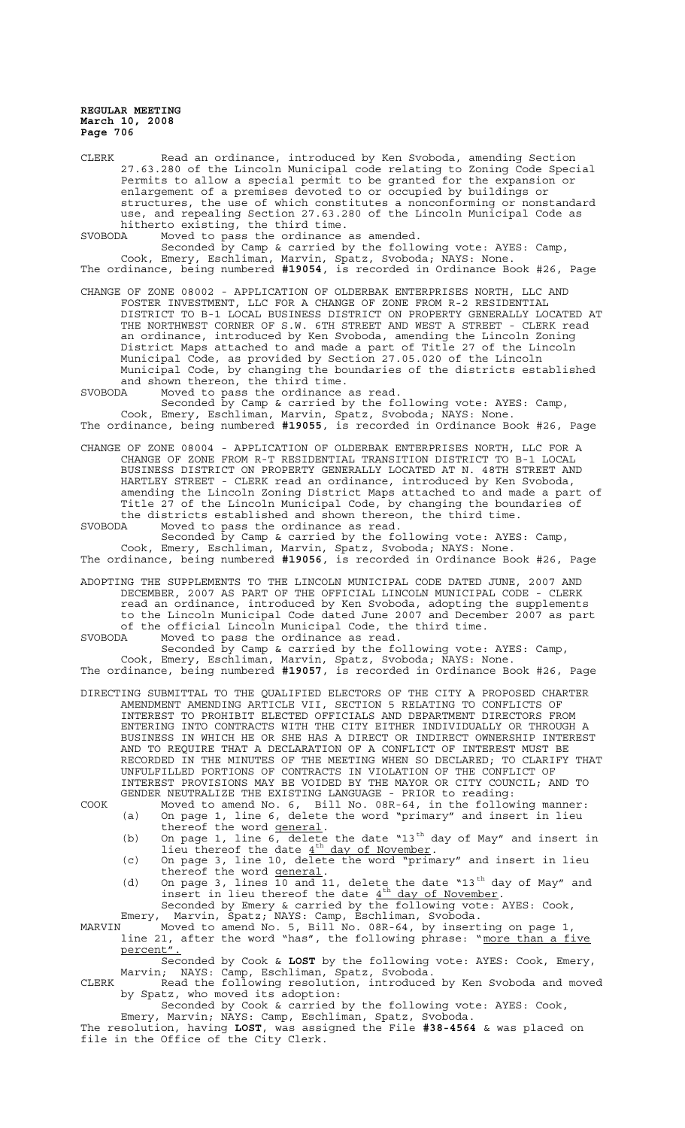CLERK Read an ordinance, introduced by Ken Svoboda, amending Section 27.63.280 of the Lincoln Municipal code relating to Zoning Code Special Permits to allow a special permit to be granted for the expansion or enlargement of a premises devoted to or occupied by buildings or structures, the use of which constitutes a nonconforming or nonstandard use, and repealing Section 27.63.280 of the Lincoln Municipal Code as hitherto existing, the third time.<br>SVORODA Moved to pass the ordinance

Moved to pass the ordinance as amended.

Seconded by Camp & carried by the following vote: AYES: Camp, Cook, Emery, Eschliman, Marvin, Spatz, Svoboda; NAYS: None. The ordinance, being numbered **#19054**, is recorded in Ordinance Book #26, Page

CHANGE OF ZONE 08002 - APPLICATION OF OLDERBAK ENTERPRISES NORTH, LLC AND FOSTER INVESTMENT, LLC FOR A CHANGE OF ZONE FROM R-2 RESIDENTIAL DISTRICT TO B-1 LOCAL BUSINESS DISTRICT ON PROPERTY GENERALLY LOCATED AT THE NORTHWEST CORNER OF S.W. 6TH STREET AND WEST A STREET - CLERK read an ordinance, introduced by Ken Svoboda, amending the Lincoln Zoning District Maps attached to and made a part of Title 27 of the Lincoln Municipal Code, as provided by Section 27.05.020 of the Lincoln Municipal Code, by changing the boundaries of the districts established and shown thereon, the third time.

SVOBODA Moved to pass the ordinance as read.

Seconded by Camp & carried by the following vote: AYES: Camp, Cook, Emery, Eschliman, Marvin, Spatz, Svoboda; NAYS: None. The ordinance, being numbered **#19055**, is recorded in Ordinance Book #26, Page

CHANGE OF ZONE 08004 - APPLICATION OF OLDERBAK ENTERPRISES NORTH, LLC FOR A CHANGE OF ZONE FROM R-T RESIDENTIAL TRANSITION DISTRICT BUSINESS DISTRICT ON PROPERTY GENERALLY LOCATED AT N. 48TH STREET AND HARTLEY STREET - CLERK read an ordinance, introduced by Ken Svoboda, amending the Lincoln Zoning District Maps attached to and made a part of Title 27 of the Lincoln Municipal Code, by changing the boundaries of the districts established and shown thereon, the third time.<br>SVOBODA Moved to pass the ordinance as read.

SVOBODA Moved to pass the ordinance as read. Seconded by Camp & carried by the following vote: AYES: Camp, Cook, Emery, Eschliman, Marvin, Spatz, Svoboda; NAYS: None.

The ordinance, being numbered **#19056**, is recorded in Ordinance Book #26, Page

ADOPTING THE SUPPLEMENTS TO THE LINCOLN MUNICIPAL CODE DATED JUNE, 2007 AND DECEMBER, 2007 AS PART OF THE OFFICIAL LINCOLN MUNICIPAL CODE - CLERK read an ordinance, introduced by Ken Svoboda, adopting the supplements to the Lincoln Municipal Code dated June 2007 and December 2007 as part of the official Lincoln Municipal Code, the third time.<br>SVOBODA Moved to pass the ordinance as read.

SVOBODA Moved to pass the ordinance as read.

Seconded by Camp & carried by the following vote: AYES: Camp, Cook, Emery, Eschliman, Marvin, Spatz, Svoboda; NAYS: None. The ordinance, being numbered **#19057**, is recorded in Ordinance Book #26, Page

DIRECTING SUBMITTAL TO THE QUALIFIED ELECTORS OF THE CITY A PROPOSED CHARTER AMENDMENT AMENDING ARTICLE VII, SECTION 5 RELATING TO CONFLICTS OF INTEREST TO PROHIBIT ELECTED OFFICIALS AND DEPARTMENT DIRECTORS FROM ENTERING INTO CONTRACTS WITH THE CITY EITHER INDIVIDUALLY OR THROUGH A BUSINESS IN WHICH HE OR SHE HAS A DIRECT OR INDIRECT OWNERSHIP INTEREST AND TO REQUIRE THAT A DECLARATION OF A CONFLICT OF INTEREST MUST BE RECORDED IN THE MINUTES OF THE MEETING WHEN SO DECLARED; TO CLARIFY THAT UNFULFILLED PORTIONS OF CONTRACTS IN VIOLATION OF THE CONFLICT OF INTEREST PROVISIONS MAY BE VOIDED BY THE MAYOR OR CITY COUNCIL; AND TO GENDER NEUTRALIZE THE EXISTING LANGUAGE - PRIOR to reading:

COOK Moved to amend No. 6, Bill No. 08R-64, in the following manner: (a) On page 1, line 6, delete the word "primary" and insert in lieu thereof the word general.

- (b) On page 1, line  $6$ , delete the date "13<sup>th</sup> day of May" and insert in lieu thereof the date  $4^{th}$  day of November.
- (c) On page 3, line 10, delete the word "primary" and insert in lieu thereof the word general.
- (d) On page 3, lines  $\overline{10}$  and 11, delete the date "13<sup>th</sup> day of May" and insert in lieu thereof the date  $4^{th}$  day of November. Seconded by Emery & carried by the following vote: AYES: Cook,

Emery, Marvin, Spatz; NAYS: Camp, Eschliman, Svoboda. MARVIN Moved to amend No. 5, Bill No. 08R-64, by inserting on page 1,

line 21, after the word "has", the following phrase: "more than a five percent".

Seconded by Cook & **LOST** by the following vote: AYES: Cook, Emery, Marvin; NAYS: Camp, Eschliman, Spatz, Svoboda.

CLERK Read the following resolution, introduced by Ken Svoboda and moved by Spatz, who moved its adoption: Seconded by Cook & carried by the following vote: AYES: Cook,

Emery, Marvin; NAYS: Camp, Eschliman, Spatz, Svoboda.

The resolution, having **LOST**, was assigned the File **#38-4564** & was placed on file in the Office of the City Clerk.